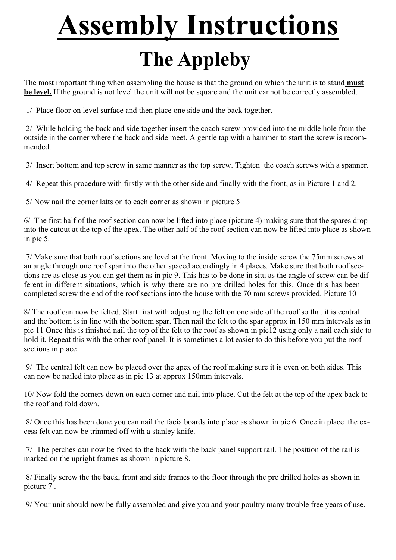## **Assembly Instructions**

## **The Appleby**

The most important thing when assembling the house is that the ground on which the unit is to stand **must be level.** If the ground is not level the unit will not be square and the unit cannot be correctly assembled.

1/ Place floor on level surface and then place one side and the back together.

 2/ While holding the back and side together insert the coach screw provided into the middle hole from the outside in the corner where the back and side meet. A gentle tap with a hammer to start the screw is recommended.

3/ Insert bottom and top screw in same manner as the top screw. Tighten the coach screws with a spanner.

4/ Repeat this procedure with firstly with the other side and finally with the front, as in Picture 1 and 2.

5/ Now nail the corner latts on to each corner as shown in picture 5

6/ The first half of the roof section can now be lifted into place (picture 4) making sure that the spares drop into the cutout at the top of the apex. The other half of the roof section can now be lifted into place as shown in pic 5.

 7/ Make sure that both roof sections are level at the front. Moving to the inside screw the 75mm screws at an angle through one roof spar into the other spaced accordingly in 4 places. Make sure that both roof sections are as close as you can get them as in pic 9. This has to be done in situ as the angle of screw can be different in different situations, which is why there are no pre drilled holes for this. Once this has been completed screw the end of the roof sections into the house with the 70 mm screws provided. Picture 10

8/ The roof can now be felted. Start first with adjusting the felt on one side of the roof so that it is central and the bottom is in line with the bottom spar. Then nail the felt to the spar approx in 150 mm intervals as in pic 11 Once this is finished nail the top of the felt to the roof as shown in pic12 using only a nail each side to hold it. Repeat this with the other roof panel. It is sometimes a lot easier to do this before you put the roof sections in place

 9/ The central felt can now be placed over the apex of the roof making sure it is even on both sides. This can now be nailed into place as in pic 13 at approx 150mm intervals.

10/ Now fold the corners down on each corner and nail into place. Cut the felt at the top of the apex back to the roof and fold down.

 8/ Once this has been done you can nail the facia boards into place as shown in pic 6. Once in place the excess felt can now be trimmed off with a stanley knife.

 7/ The perches can now be fixed to the back with the back panel support rail. The position of the rail is marked on the upright frames as shown in picture 8.

 8/ Finally screw the the back, front and side frames to the floor through the pre drilled holes as shown in picture 7 .

9/ Your unit should now be fully assembled and give you and your poultry many trouble free years of use.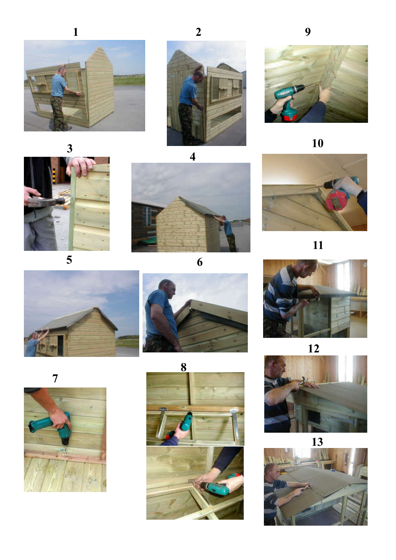